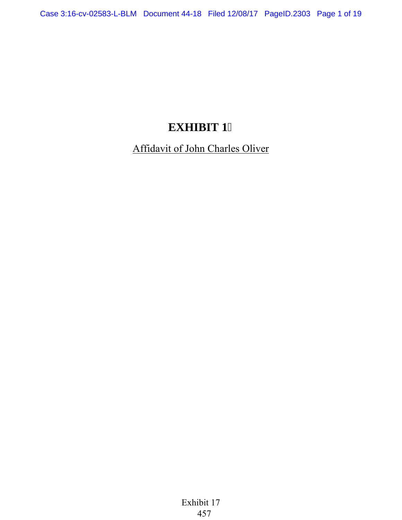## **EXHIBIT 1**

Affidavit of John Charles Oliver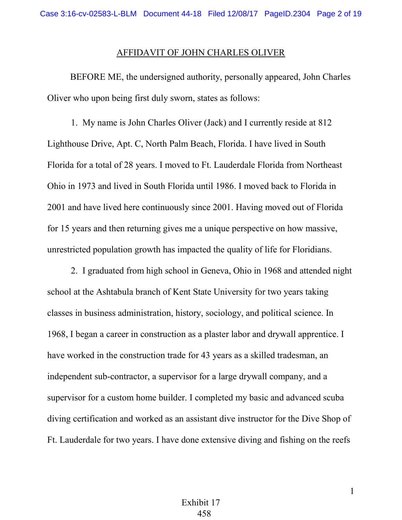## AFFIDAVIT OF JOHN CHARLES OLIVER

 BEFORE ME, the undersigned authority, personally appeared, John Charles Oliver who upon being first duly sworn, states as follows:

1. My name is John Charles Oliver (Jack) and I currently reside at 812 Lighthouse Drive, Apt. C, North Palm Beach, Florida. I have lived in South Florida for a total of 28 years. I moved to Ft. Lauderdale Florida from Northeast Ohio in 1973 and lived in South Florida until 1986. I moved back to Florida in 2001 and have lived here continuously since 2001. Having moved out of Florida for 15 years and then returning gives me a unique perspective on how massive, unrestricted population growth has impacted the quality of life for Floridians.

2. I graduated from high school in Geneva, Ohio in 1968 and attended night school at the Ashtabula branch of Kent State University for two years taking classes in business administration, history, sociology, and political science. In 1968, I began a career in construction as a plaster labor and drywall apprentice. I have worked in the construction trade for 43 years as a skilled tradesman, an independent sub-contractor, a supervisor for a large drywall company, and a supervisor for a custom home builder. I completed my basic and advanced scuba diving certification and worked as an assistant dive instructor for the Dive Shop of Ft. Lauderdale for two years. I have done extensive diving and fishing on the reefs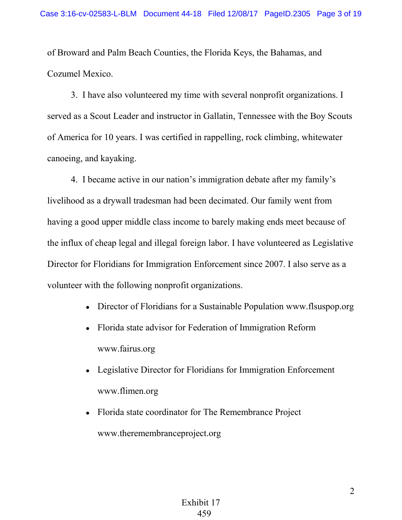of Broward and Palm Beach Counties, the Florida Keys, the Bahamas, and Cozumel Mexico.

3. I have also volunteered my time with several nonprofit organizations. I served as a Scout Leader and instructor in Gallatin, Tennessee with the Boy Scouts of America for 10 years. I was certified in rappelling, rock climbing, whitewater canoeing, and kayaking.

4. I became active in our nation's immigration debate after my family's livelihood as a drywall tradesman had been decimated. Our family went from having a good upper middle class income to barely making ends meet because of the influx of cheap legal and illegal foreign labor. I have volunteered as Legislative Director for Floridians for Immigration Enforcement since 2007. I also serve as a volunteer with the following nonprofit organizations.

- Director of Floridians for a Sustainable Population www.flsuspop.org
- Florida state advisor for Federation of Immigration Reform www.fairus.org
- Legislative Director for Floridians for Immigration Enforcement www.flimen.org
- Florida state coordinator for The Remembrance Project www.theremembranceproject.org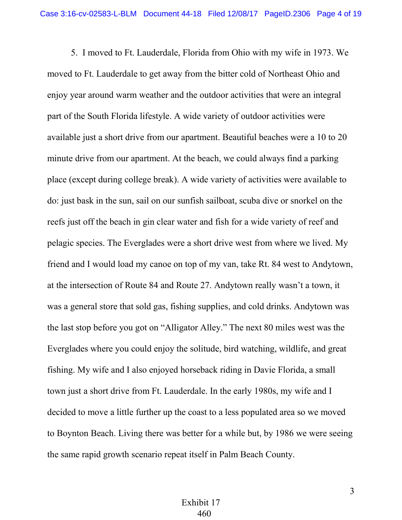5. I moved to Ft. Lauderdale, Florida from Ohio with my wife in 1973. We moved to Ft. Lauderdale to get away from the bitter cold of Northeast Ohio and enjoy year around warm weather and the outdoor activities that were an integral part of the South Florida lifestyle. A wide variety of outdoor activities were available just a short drive from our apartment. Beautiful beaches were a 10 to 20 minute drive from our apartment. At the beach, we could always find a parking place (except during college break). A wide variety of activities were available to do: just bask in the sun, sail on our sunfish sailboat, scuba dive or snorkel on the reefs just off the beach in gin clear water and fish for a wide variety of reef and pelagic species. The Everglades were a short drive west from where we lived. My friend and I would load my canoe on top of my van, take Rt. 84 west to Andytown, at the intersection of Route 84 and Route 27. Andytown really wasn't a town, it was a general store that sold gas, fishing supplies, and cold drinks. Andytown was the last stop before you got on "Alligator Alley." The next 80 miles west was the Everglades where you could enjoy the solitude, bird watching, wildlife, and great fishing. My wife and I also enjoyed horseback riding in Davie Florida, a small town just a short drive from Ft. Lauderdale. In the early 1980s, my wife and I decided to move a little further up the coast to a less populated area so we moved to Boynton Beach. Living there was better for a while but, by 1986 we were seeing the same rapid growth scenario repeat itself in Palm Beach County.

3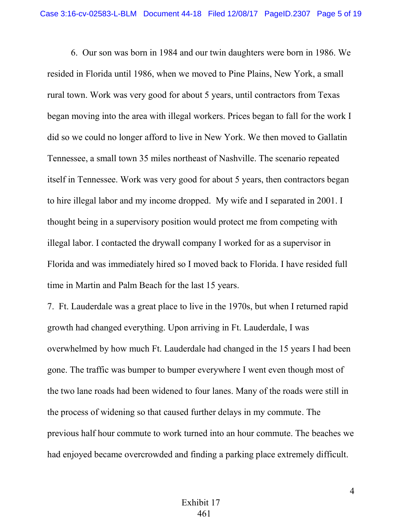6. Our son was born in 1984 and our twin daughters were born in 1986. We resided in Florida until 1986, when we moved to Pine Plains, New York, a small rural town. Work was very good for about 5 years, until contractors from Texas began moving into the area with illegal workers. Prices began to fall for the work I did so we could no longer afford to live in New York. We then moved to Gallatin Tennessee, a small town 35 miles northeast of Nashville. The scenario repeated itself in Tennessee. Work was very good for about 5 years, then contractors began to hire illegal labor and my income dropped. My wife and I separated in 2001. I thought being in a supervisory position would protect me from competing with illegal labor. I contacted the drywall company I worked for as a supervisor in Florida and was immediately hired so I moved back to Florida. I have resided full time in Martin and Palm Beach for the last 15 years.

7. Ft. Lauderdale was a great place to live in the 1970s, but when I returned rapid growth had changed everything. Upon arriving in Ft. Lauderdale, I was overwhelmed by how much Ft. Lauderdale had changed in the 15 years I had been gone. The traffic was bumper to bumper everywhere I went even though most of the two lane roads had been widened to four lanes. Many of the roads were still in the process of widening so that caused further delays in my commute. The previous half hour commute to work turned into an hour commute. The beaches we had enjoyed became overcrowded and finding a parking place extremely difficult.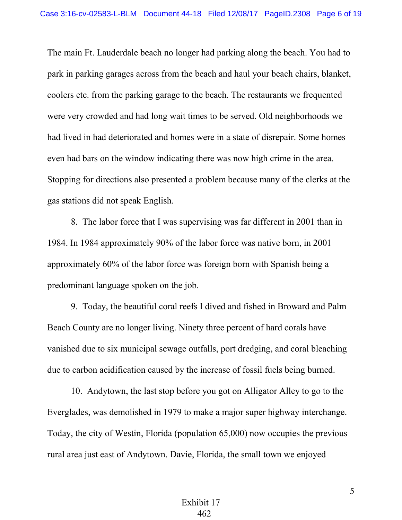The main Ft. Lauderdale beach no longer had parking along the beach. You had to park in parking garages across from the beach and haul your beach chairs, blanket, coolers etc. from the parking garage to the beach. The restaurants we frequented were very crowded and had long wait times to be served. Old neighborhoods we had lived in had deteriorated and homes were in a state of disrepair. Some homes even had bars on the window indicating there was now high crime in the area. Stopping for directions also presented a problem because many of the clerks at the gas stations did not speak English.

 8. The labor force that I was supervising was far different in 2001 than in 1984. In 1984 approximately 90% of the labor force was native born, in 2001 approximately 60% of the labor force was foreign born with Spanish being a predominant language spoken on the job.

9. Today, the beautiful coral reefs I dived and fished in Broward and Palm Beach County are no longer living. Ninety three percent of hard corals have vanished due to six municipal sewage outfalls, port dredging, and coral bleaching due to carbon acidification caused by the increase of fossil fuels being burned.

10. Andytown, the last stop before you got on Alligator Alley to go to the Everglades, was demolished in 1979 to make a major super highway interchange. Today, the city of Westin, Florida (population 65,000) now occupies the previous rural area just east of Andytown. Davie, Florida, the small town we enjoyed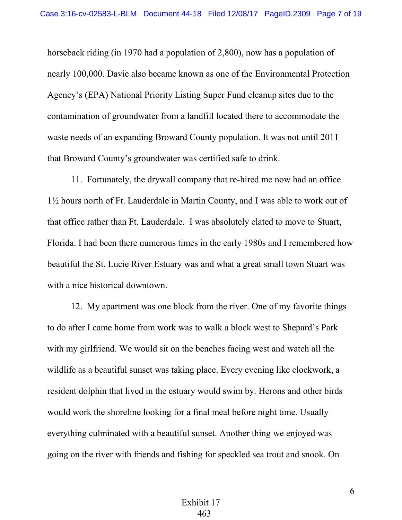horseback riding (in 1970 had a population of 2,800), now has a population of nearly 100,000. Davie also became known as one of the Environmental Protection Agency's (EPA) National Priority Listing Super Fund cleanup sites due to the contamination of groundwater from a landfill located there to accommodate the waste needs of an expanding Broward County population. It was not until 2011 that Broward County's groundwater was certified safe to drink.

11. Fortunately, the drywall company that re-hired me now had an office 1½ hours north of Ft. Lauderdale in Martin County, and I was able to work out of that office rather than Ft. Lauderdale. I was absolutely elated to move to Stuart, Florida. I had been there numerous times in the early 1980s and I remembered how beautiful the St. Lucie River Estuary was and what a great small town Stuart was with a nice historical downtown.

12. My apartment was one block from the river. One of my favorite things to do after I came home from work was to walk a block west to Shepard's Park with my girlfriend. We would sit on the benches facing west and watch all the wildlife as a beautiful sunset was taking place. Every evening like clockwork, a resident dolphin that lived in the estuary would swim by. Herons and other birds would work the shoreline looking for a final meal before night time. Usually everything culminated with a beautiful sunset. Another thing we enjoyed was going on the river with friends and fishing for speckled sea trout and snook. On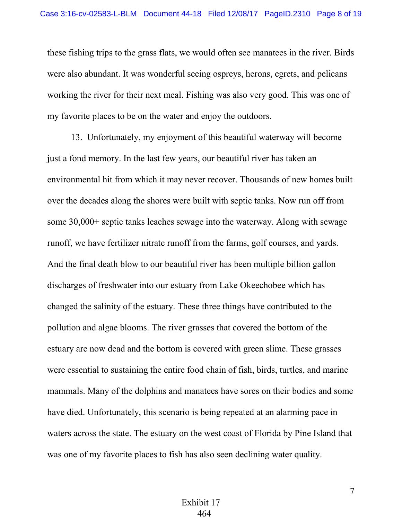these fishing trips to the grass flats, we would often see manatees in the river. Birds were also abundant. It was wonderful seeing ospreys, herons, egrets, and pelicans working the river for their next meal. Fishing was also very good. This was one of my favorite places to be on the water and enjoy the outdoors.

13. Unfortunately, my enjoyment of this beautiful waterway will become just a fond memory. In the last few years, our beautiful river has taken an environmental hit from which it may never recover. Thousands of new homes built over the decades along the shores were built with septic tanks. Now run off from some 30,000+ septic tanks leaches sewage into the waterway. Along with sewage runoff, we have fertilizer nitrate runoff from the farms, golf courses, and yards. And the final death blow to our beautiful river has been multiple billion gallon discharges of freshwater into our estuary from Lake Okeechobee which has changed the salinity of the estuary. These three things have contributed to the pollution and algae blooms. The river grasses that covered the bottom of the estuary are now dead and the bottom is covered with green slime. These grasses were essential to sustaining the entire food chain of fish, birds, turtles, and marine mammals. Many of the dolphins and manatees have sores on their bodies and some have died. Unfortunately, this scenario is being repeated at an alarming pace in waters across the state. The estuary on the west coast of Florida by Pine Island that was one of my favorite places to fish has also seen declining water quality.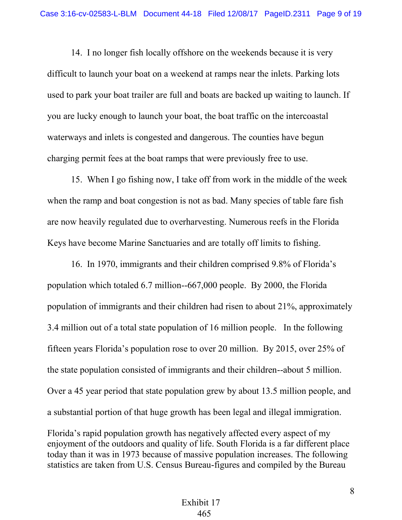14. I no longer fish locally offshore on the weekends because it is very difficult to launch your boat on a weekend at ramps near the inlets. Parking lots used to park your boat trailer are full and boats are backed up waiting to launch. If you are lucky enough to launch your boat, the boat traffic on the intercoastal waterways and inlets is congested and dangerous. The counties have begun charging permit fees at the boat ramps that were previously free to use.

15. When I go fishing now, I take off from work in the middle of the week when the ramp and boat congestion is not as bad. Many species of table fare fish are now heavily regulated due to overharvesting. Numerous reefs in the Florida Keys have become Marine Sanctuaries and are totally off limits to fishing.

16. In 1970, immigrants and their children comprised 9.8% of Florida's population which totaled 6.7 million--667,000 people. By 2000, the Florida population of immigrants and their children had risen to about 21%, approximately 3.4 million out of a total state population of 16 million people. In the following fifteen years Florida's population rose to over 20 million. By 2015, over 25% of the state population consisted of immigrants and their children--about 5 million. Over a 45 year period that state population grew by about 13.5 million people, and a substantial portion of that huge growth has been legal and illegal immigration. Florida's rapid population growth has negatively affected every aspect of my enjoyment of the outdoors and quality of life. South Florida is a far different place today than it was in 1973 because of massive population increases. The following statistics are taken from U.S. Census Bureau-figures and compiled by the Bureau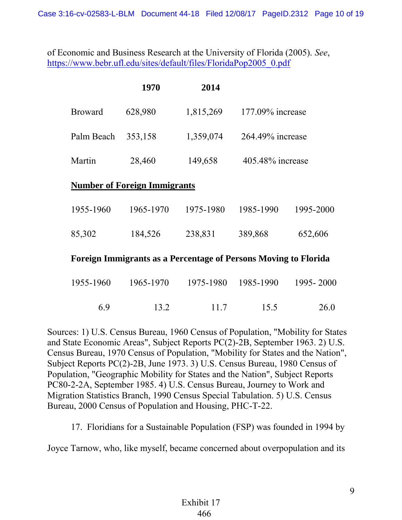of Economic and Business Research at the University of Florida (2005). *See*, [https://www.bebr.ufl.edu/sites/default/files/FloridaPop2005\\_0.pdf](https://www.bebr.ufl.edu/sites/default/files/FloridaPop2005_0.pdf)

|                                                                        | 1970      | 2014      |                     |                  |  |  |  |  |  |
|------------------------------------------------------------------------|-----------|-----------|---------------------|------------------|--|--|--|--|--|
| <b>Broward</b>                                                         | 628,980   | 1,815,269 | $177.09\%$ increase |                  |  |  |  |  |  |
| Palm Beach                                                             | 353,158   | 1,359,074 | 264.49% increase    |                  |  |  |  |  |  |
| Martin                                                                 | 28,460    | 149,658   |                     | 405.48% increase |  |  |  |  |  |
| <b>Number of Foreign Immigrants</b>                                    |           |           |                     |                  |  |  |  |  |  |
| 1955-1960                                                              | 1965-1970 | 1975-1980 | 1985-1990           | 1995-2000        |  |  |  |  |  |
| 85,302                                                                 | 184,526   | 238,831   | 389,868             | 652,606          |  |  |  |  |  |
| <b>Foreign Immigrants as a Percentage of Persons Moving to Florida</b> |           |           |                     |                  |  |  |  |  |  |
| 1955-1960                                                              | 1965-1970 | 1975-1980 | 1985-1990           | 1995 - 2000      |  |  |  |  |  |

6.9 13.2 11.7 15.5 26.0

Sources: 1) U.S. Census Bureau, 1960 Census of Population, "Mobility for States and State Economic Areas", Subject Reports PC(2)-2B, September 1963. 2) U.S. Census Bureau, 1970 Census of Population, "Mobility for States and the Nation", Subject Reports PC(2)-2B, June 1973. 3) U.S. Census Bureau, 1980 Census of Population, "Geographic Mobility for States and the Nation", Subject Reports PC80-2-2A, September 1985. 4) U.S. Census Bureau, Journey to Work and Migration Statistics Branch, 1990 Census Special Tabulation. 5) U.S. Census Bureau, 2000 Census of Population and Housing, PHC-T-22.

17. Floridians for a Sustainable Population (FSP) was founded in 1994 by

Joyce Tarnow, who, like myself, became concerned about overpopulation and its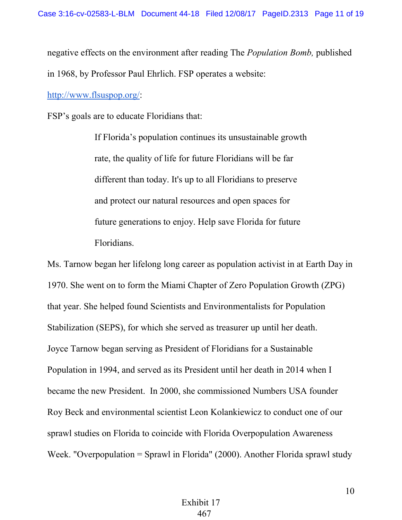negative effects on the environment after reading The *Population Bomb,* published in 1968, by Professor Paul Ehrlich. FSP operates a website:

[http://www.flsuspop.org/:](http://www.flsuspop.org/)

FSP's goals are to educate Floridians that:

If Florida's population continues its unsustainable growth rate, the quality of life for future Floridians will be far different than today. It's up to all Floridians to preserve and protect our natural resources and open spaces for future generations to enjoy. Help save Florida for future Floridians.

Ms. Tarnow began her lifelong long career as population activist in at Earth Day in 1970. She went on to form the Miami Chapter of Zero Population Growth (ZPG) that year. She helped found Scientists and Environmentalists for Population Stabilization (SEPS), for which she served as treasurer up until her death. Joyce Tarnow began serving as President of Floridians for a Sustainable Population in 1994, and served as its President until her death in 2014 when I became the new President. In 2000, she commissioned Numbers USA founder Roy Beck and environmental scientist Leon Kolankiewicz to conduct one of our sprawl studies on Florida to coincide with Florida Overpopulation Awareness Week. "Overpopulation = Sprawl in Florida" (2000). Another Florida sprawl study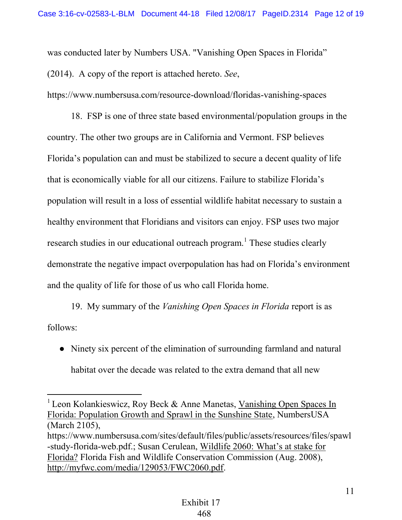was conducted later by Numbers USA. "Vanishing Open Spaces in Florida" (2014). A copy of the report is attached hereto. *See*,

https://www.numbersusa.com/resource-download/floridas-vanishing-spaces

18. FSP is one of three state based environmental/population groups in the country. The other two groups are in California and Vermont. FSP believes Florida's population can and must be stabilized to secure a decent quality of life that is economically viable for all our citizens. Failure to stabilize Florida's population will result in a loss of essential wildlife habitat necessary to sustain a healthy environment that Floridians and visitors can enjoy. FSP uses two major research studies in our educational outreach program.<sup>1</sup> These studies clearly demonstrate the negative impact overpopulation has had on Florida's environment and the quality of life for those of us who call Florida home.

19. My summary of the *Vanishing Open Spaces in Florida* report is as follows:

• Ninety six percent of the elimination of surrounding farmland and natural habitat over the decade was related to the extra demand that all new

 $\overline{a}$ <sup>1</sup> Leon Kolankieswicz, Roy Beck & Anne Manetas, Vanishing Open Spaces In Florida: Population Growth and Sprawl in the Sunshine State, NumbersUSA (March 2105),

https://www.numbersusa.com/sites/default/files/public/assets/resources/files/spawl -study-florida-web.pdf.; Susan Cerulean, Wildlife 2060: What's at stake for Florida? Florida Fish and Wildlife Conservation Commission (Aug. 2008), [http://myfwc.com/media/129053/FWC2060.pdf.](myfwc.com/media/129053/FWC2060.pdf)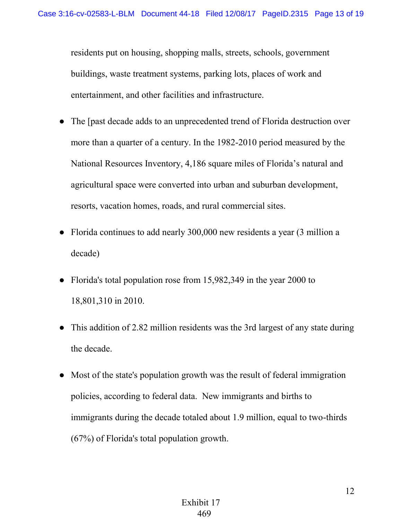residents put on housing, shopping malls, streets, schools, government buildings, waste treatment systems, parking lots, places of work and entertainment, and other facilities and infrastructure.

- The [past decade adds to an unprecedented trend of Florida destruction over more than a quarter of a century. In the 1982-2010 period measured by the National Resources Inventory, 4,186 square miles of Florida's natural and agricultural space were converted into urban and suburban development, resorts, vacation homes, roads, and rural commercial sites.
- Florida continues to add nearly 300,000 new residents a year (3 million a decade)
- Florida's total population rose from 15,982,349 in the year 2000 to 18,801,310 in 2010.
- This addition of 2.82 million residents was the 3rd largest of any state during the decade.
- Most of the state's population growth was the result of federal immigration policies, according to federal data. New immigrants and births to immigrants during the decade totaled about 1.9 million, equal to two-thirds (67%) of Florida's total population growth.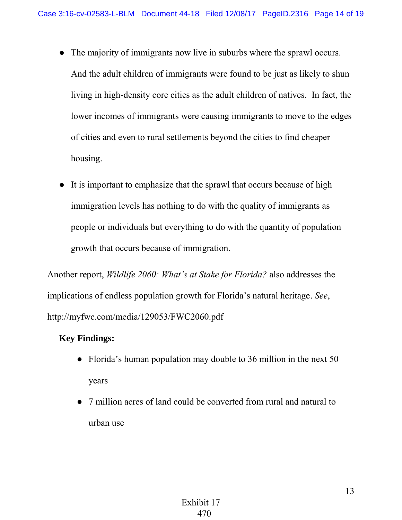- The majority of immigrants now live in suburbs where the sprawl occurs.
	- And the adult children of immigrants were found to be just as likely to shun living in high-density core cities as the adult children of natives. In fact, the lower incomes of immigrants were causing immigrants to move to the edges of cities and even to rural settlements beyond the cities to find cheaper housing.
- It is important to emphasize that the sprawl that occurs because of high immigration levels has nothing to do with the quality of immigrants as people or individuals but everything to do with the quantity of population growth that occurs because of immigration.

Another report, *Wildlife 2060: What's at Stake for Florida?* also addresses the implications of endless population growth for Florida's natural heritage. *See*, http://myfwc.com/media/129053/FWC2060.pdf

## **Key Findings:**

- Florida's human population may double to 36 million in the next 50 years
- 7 million acres of land could be converted from rural and natural to urban use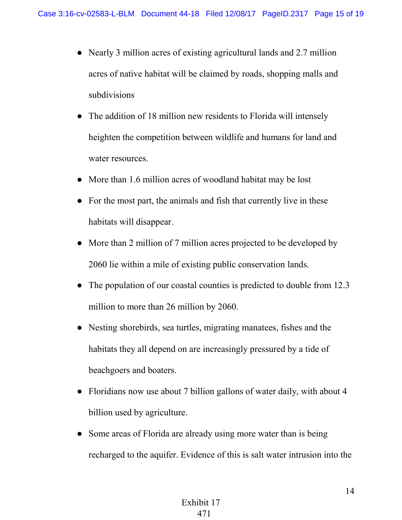- Nearly 3 million acres of existing agricultural lands and 2.7 million acres of native habitat will be claimed by roads, shopping malls and subdivisions
- The addition of 18 million new residents to Florida will intensely heighten the competition between wildlife and humans for land and water resources.
- More than 1.6 million acres of woodland habitat may be lost
- For the most part, the animals and fish that currently live in these habitats will disappear.
- More than 2 million of 7 million acres projected to be developed by 2060 lie within a mile of existing public conservation lands.
- The population of our coastal counties is predicted to double from 12.3 million to more than 26 million by 2060.
- Nesting shorebirds, sea turtles, migrating manatees, fishes and the habitats they all depend on are increasingly pressured by a tide of beachgoers and boaters.
- Floridians now use about 7 billion gallons of water daily, with about 4 billion used by agriculture.
- Some areas of Florida are already using more water than is being recharged to the aquifer. Evidence of this is salt water intrusion into the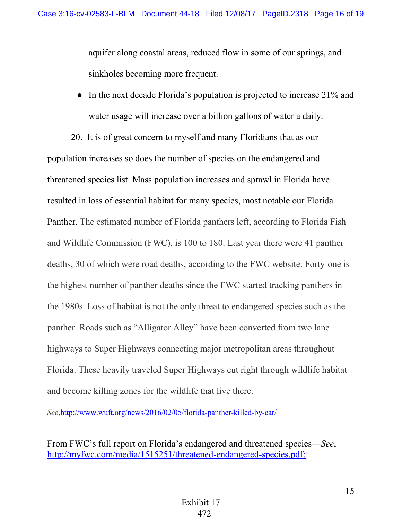aquifer along coastal areas, reduced flow in some of our springs, and sinkholes becoming more frequent.

**●** In the next decade Florida's population is projected to increase 21% and water usage will increase over a billion gallons of water a daily.

20. It is of great concern to myself and many Floridians that as our population increases so does the number of species on the endangered and threatened species list. Mass population increases and sprawl in Florida have resulted in loss of essential habitat for many species, most notable our Florida Panther. The estimated number of Florida panthers left, according to Florida Fish and Wildlife Commission (FWC), is 100 to 180. Last year there were 41 panther deaths, 30 of which were road deaths, according to the FWC website. Forty-one is the highest number of panther deaths since the FWC started tracking panthers in the 1980s. Loss of habitat is not the only threat to endangered species such as the panther. Roads such as "Alligator Alley" have been converted from two lane highways to Super Highways connecting major metropolitan areas throughout Florida. These heavily traveled Super Highways cut right through wildlife habitat and become killing zones for the wildlife that live there.

*See*,<http://www.wuft.org/news/2016/02/05/florida-panther-killed-by-car/>

From FWC's full report on Florida's endangered and threatened species—*See*, [http://myfwc.com/media/1515251/threatened-endangered-species.pdf:](myfwc.com/media/1515251/threatened-endangered-species.pdf)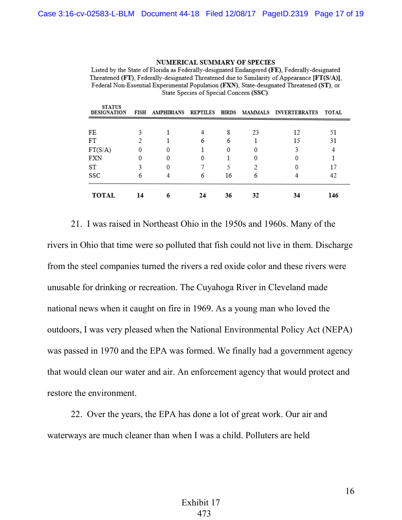**STATE A PROPERTY** 

## **NUMERICAL SUMMARY OF SPECIES**

Listed by the State of Florida as Federally-designated Endangered (FE), Federally-designated Threatened (FT), Federally-designated Threatened due to Similarity of Appearance [FT(S/A)], Federal Non-Essential Experimental Population (FXN), State-designated Threatened (ST), or State Species of Special Concern (SSC).

| SIAIUS<br><b>DESIGNATION</b> |    |   |    |    |    | FISH AMPHIBIANS REPTILES BIRDS MAMMALS INVERTEBRATES TOTAL |     |
|------------------------------|----|---|----|----|----|------------------------------------------------------------|-----|
|                              |    |   |    |    |    |                                                            |     |
| FE                           |    |   | 4  | 8  | 23 | 12                                                         | 51  |
| FT                           |    |   | 6  | 6  |    | 15                                                         | 31  |
| FT(S/A)                      |    |   |    | 0  |    |                                                            |     |
| FXN                          |    | O | 0  |    |    |                                                            |     |
| ST                           |    | 0 |    |    |    |                                                            | 17  |
| SSC                          | 6  |   | 6  | 16 | 6  |                                                            | 42  |
| <b>TOTAL</b>                 | 14 |   | 24 | 36 | 32 | 34                                                         | 146 |

21. I was raised in Northeast Ohio in the 1950s and 1960s. Many of the rivers in Ohio that time were so polluted that fish could not live in them. Discharge from the steel companies turned the rivers a red oxide color and these rivers were unusable for drinking or recreation. The Cuyahoga River in Cleveland made national news when it caught on fire in 1969. As a young man who loved the outdoors, I was very pleased when the National Environmental Policy Act (NEPA) was passed in 1970 and the EPA was formed. We finally had a government agency that would clean our water and air. An enforcement agency that would protect and restore the environment.

22. Over the years, the EPA has done a lot of great work. Our air and waterways are much cleaner than when I was a child. Polluters are held

16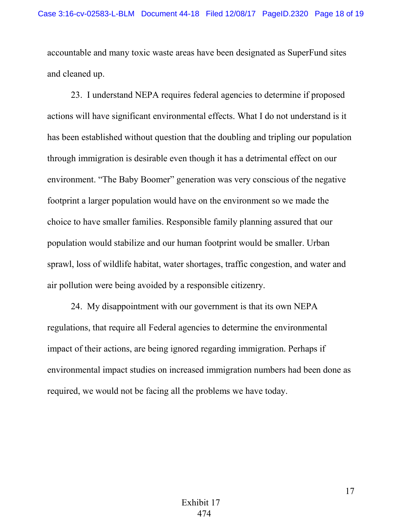accountable and many toxic waste areas have been designated as SuperFund sites and cleaned up.

23. I understand NEPA requires federal agencies to determine if proposed actions will have significant environmental effects. What I do not understand is it has been established without question that the doubling and tripling our population through immigration is desirable even though it has a detrimental effect on our environment. "The Baby Boomer" generation was very conscious of the negative footprint a larger population would have on the environment so we made the choice to have smaller families. Responsible family planning assured that our population would stabilize and our human footprint would be smaller. Urban sprawl, loss of wildlife habitat, water shortages, traffic congestion, and water and air pollution were being avoided by a responsible citizenry.

24. My disappointment with our government is that its own NEPA regulations, that require all Federal agencies to determine the environmental impact of their actions, are being ignored regarding immigration. Perhaps if environmental impact studies on increased immigration numbers had been done as required, we would not be facing all the problems we have today.